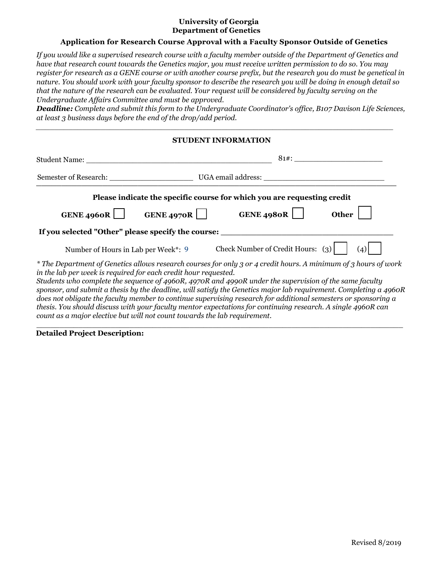## **University of Georgia Department of Genetics**

## **Application for Research Course Approval with a Faculty Sponsor Outside of Genetics**

*If you would like a supervised research course with a faculty member outside of the Department of Genetics and have that research count towards the Genetics major, you must receive written permission to do so. You may register for research as a GENE course or with another course prefix, but the research you do must be genetical in nature. You should work with your faculty sponsor to describe the research you will be doing in enough detail so that the nature of the research can be evaluated. Your request will be considered by faculty serving on the Undergraduate Affairs Committee and must be approved.*

*Deadline: Complete and submit this form to the Undergraduate Coordinator's office, B107 Davison Life Sciences, at least 3 business days before the end of the drop/add period.*

*\_\_\_\_\_\_\_\_\_\_\_\_\_\_\_\_\_\_\_\_\_\_\_\_\_\_\_\_\_\_\_\_\_\_\_\_\_\_\_\_\_\_\_\_\_\_\_\_\_\_\_\_\_\_\_\_\_\_\_\_\_\_\_\_\_\_\_\_\_\_\_\_\_\_\_\_\_*

| <b>STUDENT INFORMATION</b>                                                                                                                   |                                                                                                                                                                                                                                                                                                                                                                                                                                                                                                                                                                                  |  |
|----------------------------------------------------------------------------------------------------------------------------------------------|----------------------------------------------------------------------------------------------------------------------------------------------------------------------------------------------------------------------------------------------------------------------------------------------------------------------------------------------------------------------------------------------------------------------------------------------------------------------------------------------------------------------------------------------------------------------------------|--|
|                                                                                                                                              |                                                                                                                                                                                                                                                                                                                                                                                                                                                                                                                                                                                  |  |
|                                                                                                                                              |                                                                                                                                                                                                                                                                                                                                                                                                                                                                                                                                                                                  |  |
|                                                                                                                                              | Please indicate the specific course for which you are requesting credit                                                                                                                                                                                                                                                                                                                                                                                                                                                                                                          |  |
| GENE 4960R GENE 4970R                                                                                                                        | GENE 4980R $\vert$ $\vert$<br><b>Other</b>                                                                                                                                                                                                                                                                                                                                                                                                                                                                                                                                       |  |
|                                                                                                                                              | If you selected "Other" please specify the course: ______________________________                                                                                                                                                                                                                                                                                                                                                                                                                                                                                                |  |
|                                                                                                                                              | Number of Hours in Lab per Week*: 9 Check Number of Credit Hours: $(3)$<br>(4)                                                                                                                                                                                                                                                                                                                                                                                                                                                                                                   |  |
| in the lab per week is required for each credit hour requested.<br>count as a major elective but will not count towards the lab requirement. | * The Department of Genetics allows research courses for only 3 or 4 credit hours. A minimum of 3 hours of work<br>Students who complete the sequence of 4960R, 4970R and 4990R under the supervision of the same faculty<br>sponsor, and submit a thesis by the deadline, will satisfy the Genetics major lab requirement. Completing a 4960R<br>does not obligate the faculty member to continue supervising research for additional semesters or sponsoring a<br>thesis. You should discuss with your faculty mentor expectations for continuing research. A single 4960R can |  |

 $\_$  , and the set of the set of the set of the set of the set of the set of the set of the set of the set of the set of the set of the set of the set of the set of the set of the set of the set of the set of the set of th

**Detailed Project Description:**